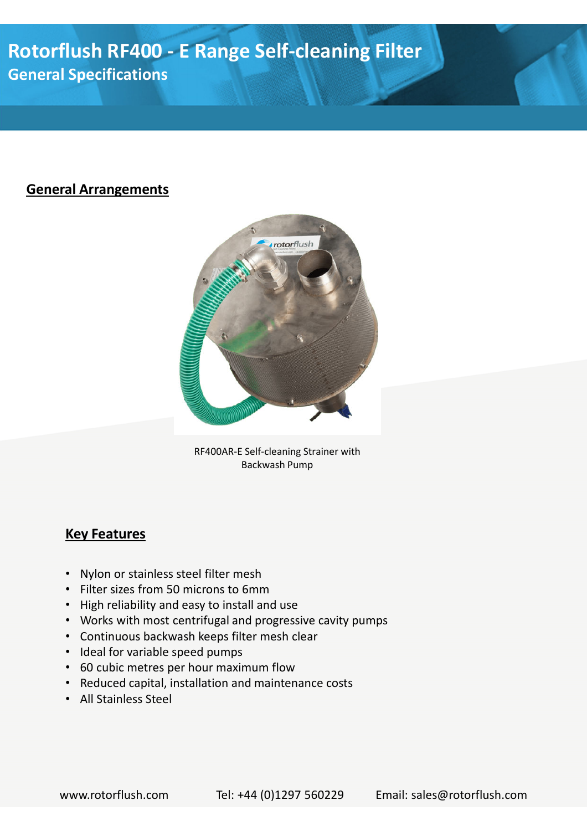# **Rotorflush RF400 - E Range Self-cleaning Filter General Specifications**

### **General Arrangements**



RF400AR-E Self-cleaning Strainer with Backwash Pump

#### **Key Features**

- Nylon or stainless steel filter mesh
- Filter sizes from 50 microns to 6mm
- High reliability and easy to install and use
- Works with most centrifugal and progressive cavity pumps
- Continuous backwash keeps filter mesh clear
- Ideal for variable speed pumps
- 60 cubic metres per hour maximum flow
- Reduced capital, installation and maintenance costs
- All Stainless Steel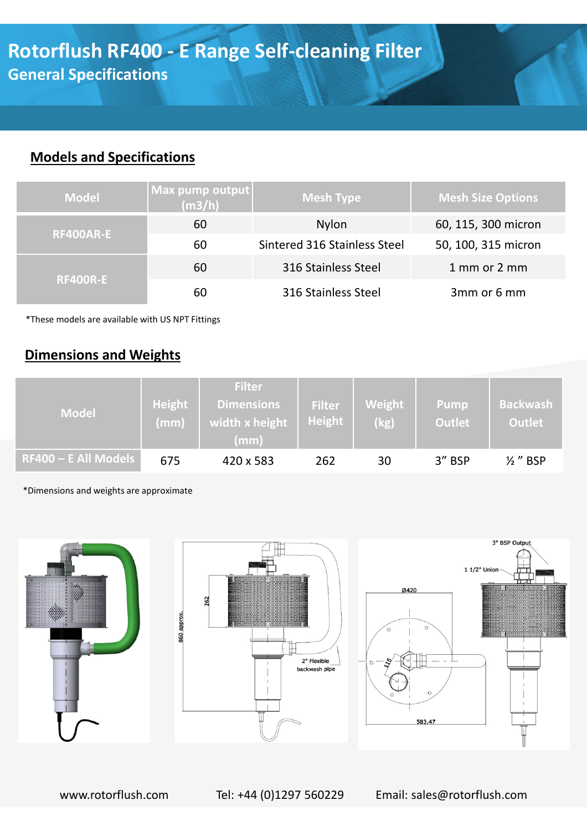### **Models and Specifications**

| <b>Model</b>     | $\vert$ Max pump output $\vert$<br>(m3/h) | <b>Mesh Type</b>             | <b>Mesh Size Options</b> |  |
|------------------|-------------------------------------------|------------------------------|--------------------------|--|
|                  | 60                                        | <b>Nylon</b>                 | 60, 115, 300 micron      |  |
| <b>RF400AR-E</b> | 60                                        | Sintered 316 Stainless Steel | 50, 100, 315 micron      |  |
| <b>RF400R-E</b>  | 60                                        | 316 Stainless Steel          | 1 mm or 2 mm             |  |
|                  | 60                                        | 316 Stainless Steel          | 3mm or 6 mm              |  |

\*These models are available with US NPT Fittings

## **Dimensions and Weights**

| <b>Model</b>                      | Height<br>(mm) | <b>Filter</b><br><b>Dimensions</b><br>width x height<br>(mm) | <b>Filter</b><br>Height | Weight<br>(kg) | Pump<br><b>Outlet</b> | <b>Backwash</b><br><b>Outlet</b> |
|-----------------------------------|----------------|--------------------------------------------------------------|-------------------------|----------------|-----------------------|----------------------------------|
| RF400 – E All Models <sup> </sup> | 675            | 420 x 583                                                    | 262                     | 30             | 3" BSP                | $\frac{1}{2}$ " BSP              |

\*Dimensions and weights are approximate



www.rotorflush.com Tel: +44 (0)1297 560229 Email: sales@rotorflush.com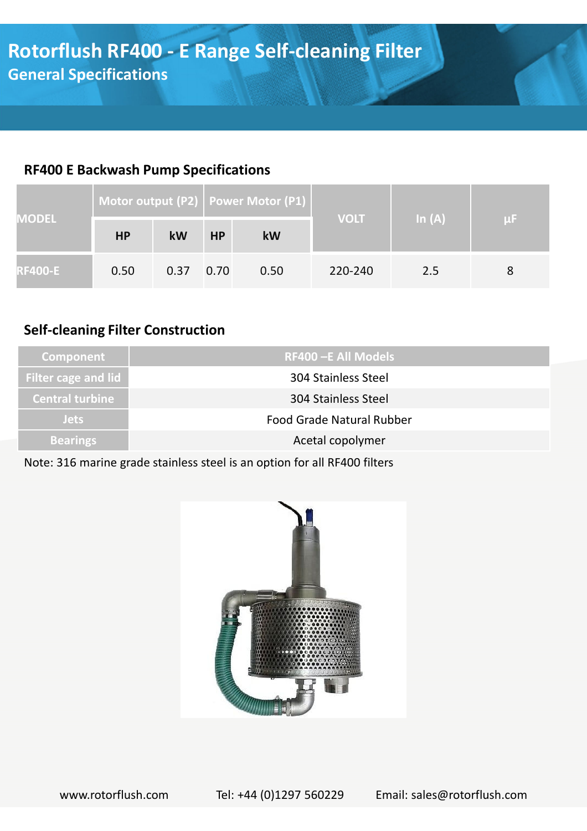## **RF400 E Backwash Pump Specifications**

| <b>MODEL</b>   | Motor output (P2)   Power Motor (P1) |      |           |      |             |          |    |
|----------------|--------------------------------------|------|-----------|------|-------------|----------|----|
|                | <b>HP</b>                            | kW   | <b>HP</b> | kW   | <b>VOLT</b> | In $(A)$ | μF |
| <b>RF400-E</b> | 0.50                                 | 0.37 | 0.70      | 0.50 | 220-240     | 2.5      |    |

## **Self-cleaning Filter Construction**

| <b>Component</b>       | <b>RF400 -E All Models</b>       |
|------------------------|----------------------------------|
| Filter cage and lid    | <b>304 Stainless Steel</b>       |
| <b>Central turbine</b> | 304 Stainless Steel              |
| <b>Jets</b>            | <b>Food Grade Natural Rubber</b> |
| <b>Bearings</b>        | Acetal copolymer                 |

Note: 316 marine grade stainless steel is an option for all RF400 filters